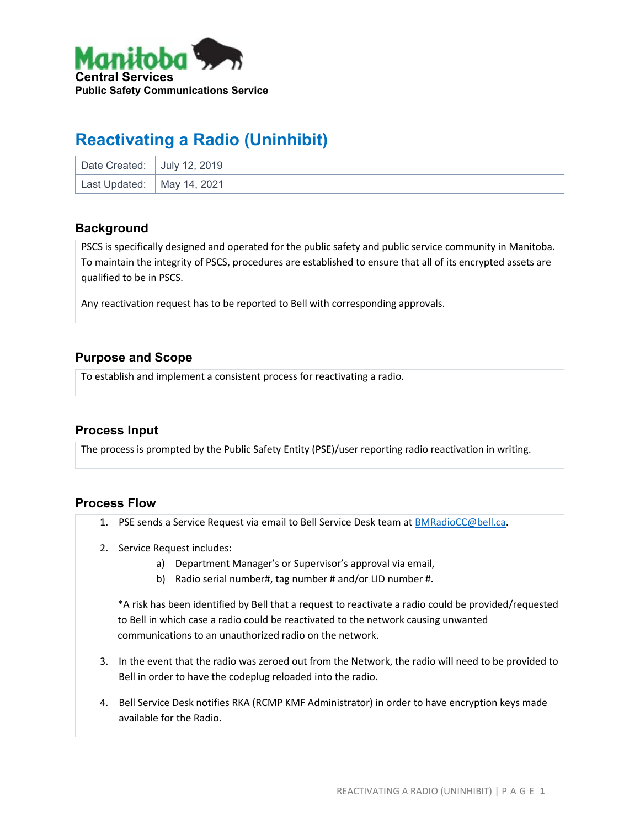

# **Reactivating a Radio (Uninhibit)**

| Date Created: July 12, 2019  |  |
|------------------------------|--|
| Last Updated:   May 14, 2021 |  |

#### **Background**

PSCS is specifically designed and operated for the public safety and public service community in Manitoba. To maintain the integrity of PSCS, procedures are established to ensure that all of its encrypted assets are qualified to be in PSCS.

Any reactivation request has to be reported to Bell with corresponding approvals.

### **Purpose and Scope**

To establish and implement a consistent process for reactivating a radio.

#### **Process Input**

The process is prompted by the Public Safety Entity (PSE)/user reporting radio reactivation in writing.

#### **Process Flow**

- 1. PSE sends a Service Request via email to Bell Service Desk team at [BMRadioCC@bell.ca.](mailto:BMRadioCC@bell.ca)
- 2. Service Request includes:
	- a) Department Manager's or Supervisor's approval via email,
	- b) Radio serial number#, tag number # and/or LID number #.

\*A risk has been identified by Bell that a request to reactivate a radio could be provided/requested to Bell in which case a radio could be reactivated to the network causing unwanted communications to an unauthorized radio on the network.

- 3. In the event that the radio was zeroed out from the Network, the radio will need to be provided to Bell in order to have the codeplug reloaded into the radio.
- 4. Bell Service Desk notifies RKA (RCMP KMF Administrator) in order to have encryption keys made available for the Radio.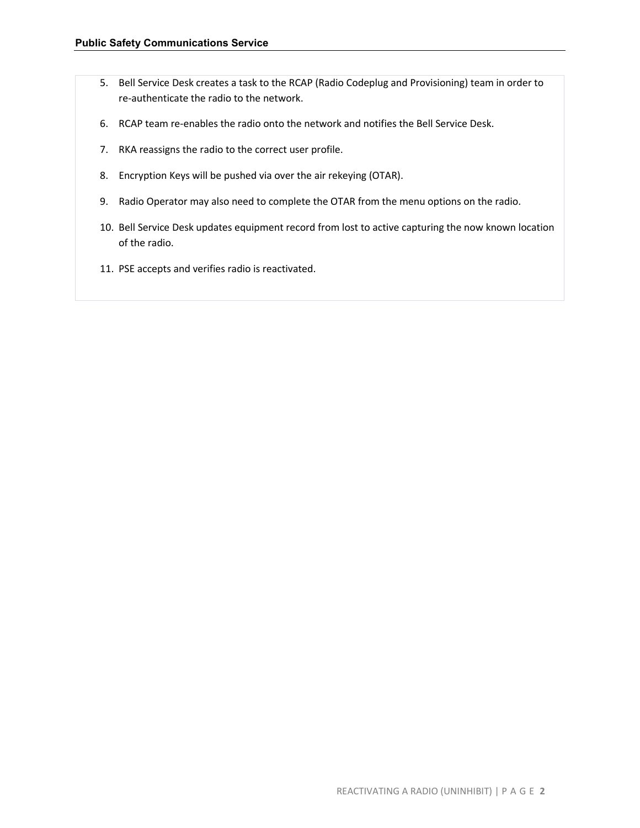- 5. Bell Service Desk creates a task to the RCAP (Radio Codeplug and Provisioning) team in order to re-authenticate the radio to the network.
- 6. RCAP team re-enables the radio onto the network and notifies the Bell Service Desk.
- 7. RKA reassigns the radio to the correct user profile.
- 8. Encryption Keys will be pushed via over the air rekeying (OTAR).
- 9. Radio Operator may also need to complete the OTAR from the menu options on the radio.
- 10. Bell Service Desk updates equipment record from lost to active capturing the now known location of the radio.
- 11. PSE accepts and verifies radio is reactivated.